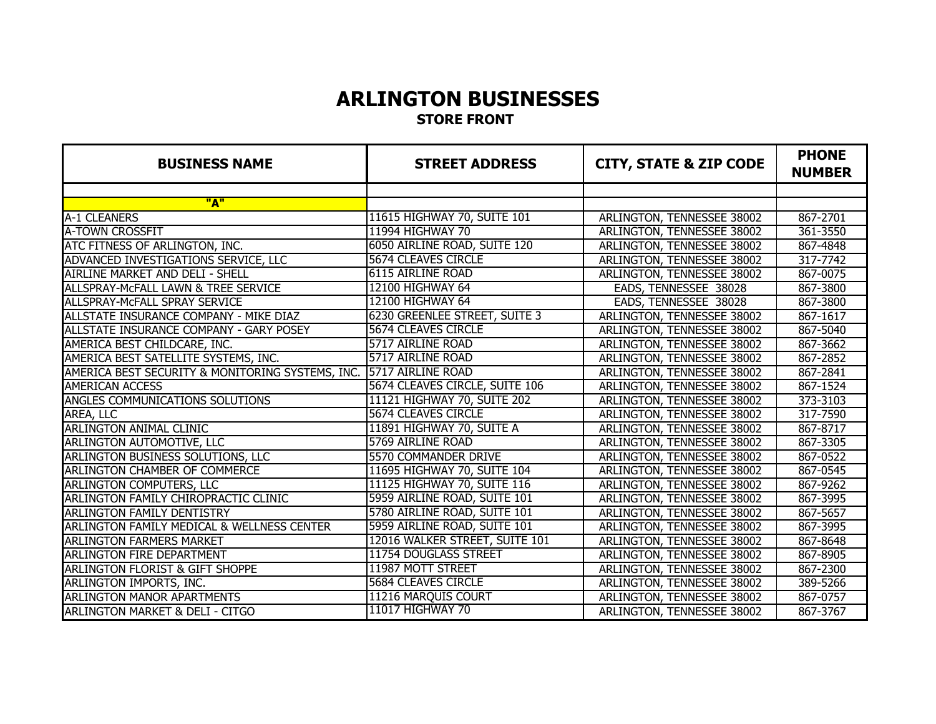# **STORE FRONT ARLINGTON BUSINESSES**

| <b>BUSINESS NAME</b>                             | <b>STREET ADDRESS</b>          | <b>CITY, STATE &amp; ZIP CODE</b> | <b>PHONE</b><br><b>NUMBER</b> |
|--------------------------------------------------|--------------------------------|-----------------------------------|-------------------------------|
|                                                  |                                |                                   |                               |
| "A"                                              |                                |                                   |                               |
| A-1 CLEANERS                                     | 11615 HIGHWAY 70, SUITE 101    | ARLINGTON, TENNESSEE 38002        | 867-2701                      |
| <b>A-TOWN CROSSFIT</b>                           | 11994 HIGHWAY 70               | ARLINGTON, TENNESSEE 38002        | 361-3550                      |
| ATC FITNESS OF ARLINGTON, INC.                   | 6050 AIRLINE ROAD, SUITE 120   | ARLINGTON, TENNESSEE 38002        | 867-4848                      |
| ADVANCED INVESTIGATIONS SERVICE, LLC             | 5674 CLEAVES CIRCLE            | ARLINGTON, TENNESSEE 38002        | 317-7742                      |
| AIRLINE MARKET AND DELI - SHELL                  | <b>6115 AIRLINE ROAD</b>       | ARLINGTON, TENNESSEE 38002        | 867-0075                      |
| ALLSPRAY-MCFALL LAWN & TREE SERVICE              | 12100 HIGHWAY 64               | EADS, TENNESSEE 38028             | 867-3800                      |
| ALLSPRAY-MCFALL SPRAY SERVICE                    | 12100 HIGHWAY 64               | EADS, TENNESSEE 38028             | 867-3800                      |
| ALLSTATE INSURANCE COMPANY - MIKE DIAZ           | 6230 GREENLEE STREET, SUITE 3  | <b>ARLINGTON, TENNESSEE 38002</b> | 867-1617                      |
| ALLSTATE INSURANCE COMPANY - GARY POSEY          | 5674 CLEAVES CIRCLE            | ARLINGTON, TENNESSEE 38002        | 867-5040                      |
| AMERICA BEST CHILDCARE, INC.                     | 5717 AIRLINE ROAD              | ARLINGTON, TENNESSEE 38002        | 867-3662                      |
| AMERICA BEST SATELLITE SYSTEMS, INC.             | 5717 AIRLINE ROAD              | ARLINGTON, TENNESSEE 38002        | 867-2852                      |
| AMERICA BEST SECURITY & MONITORING SYSTEMS, INC. | 5717 AIRLINE ROAD              | ARLINGTON, TENNESSEE 38002        | 867-2841                      |
| <b>AMERICAN ACCESS</b>                           | 5674 CLEAVES CIRCLE, SUITE 106 | ARLINGTON, TENNESSEE 38002        | 867-1524                      |
| ANGLES COMMUNICATIONS SOLUTIONS                  | 11121 HIGHWAY 70, SUITE 202    | ARLINGTON, TENNESSEE 38002        | 373-3103                      |
| AREA, LLC                                        | 5674 CLEAVES CIRCLE            | ARLINGTON, TENNESSEE 38002        | 317-7590                      |
| <b>ARLINGTON ANIMAL CLINIC</b>                   | 11891 HIGHWAY 70, SUITE A      | ARLINGTON, TENNESSEE 38002        | 867-8717                      |
| ARLINGTON AUTOMOTIVE, LLC                        | 5769 AIRLINE ROAD              | ARLINGTON, TENNESSEE 38002        | 867-3305                      |
| ARLINGTON BUSINESS SOLUTIONS, LLC                | 5570 COMMANDER DRIVE           | ARLINGTON, TENNESSEE 38002        | 867-0522                      |
| ARLINGTON CHAMBER OF COMMERCE                    | 11695 HIGHWAY 70, SUITE 104    | ARLINGTON, TENNESSEE 38002        | 867-0545                      |
| <b>ARLINGTON COMPUTERS, LLC</b>                  | 11125 HIGHWAY 70, SUITE 116    | ARLINGTON, TENNESSEE 38002        | 867-9262                      |
| ARLINGTON FAMILY CHIROPRACTIC CLINIC             | 5959 AIRLINE ROAD, SUITE 101   | ARLINGTON, TENNESSEE 38002        | 867-3995                      |
| <b>ARLINGTON FAMILY DENTISTRY</b>                | 5780 AIRLINE ROAD, SUITE 101   | ARLINGTON, TENNESSEE 38002        | 867-5657                      |
| ARLINGTON FAMILY MEDICAL & WELLNESS CENTER       | 5959 AIRLINE ROAD, SUITE 101   | ARLINGTON, TENNESSEE 38002        | 867-3995                      |
| <b>ARLINGTON FARMERS MARKET</b>                  | 12016 WALKER STREET, SUITE 101 | ARLINGTON, TENNESSEE 38002        | 867-8648                      |
| ARLINGTON FIRE DEPARTMENT                        | 11754 DOUGLASS STREET          | ARLINGTON, TENNESSEE 38002        | 867-8905                      |
| ARLINGTON FLORIST & GIFT SHOPPE                  | 11987 MOTT STREET              | ARLINGTON, TENNESSEE 38002        | 867-2300                      |
| ARLINGTON IMPORTS, INC.                          | <b>5684 CLEAVES CIRCLE</b>     | ARLINGTON, TENNESSEE 38002        | 389-5266                      |
| <b>ARLINGTON MANOR APARTMENTS</b>                | 11216 MARQUIS COURT            | ARLINGTON, TENNESSEE 38002        | 867-0757                      |
| ARLINGTON MARKET & DELI - CITGO                  | <b>11017 HIGHWAY 70</b>        | ARLINGTON, TENNESSEE 38002        | 867-3767                      |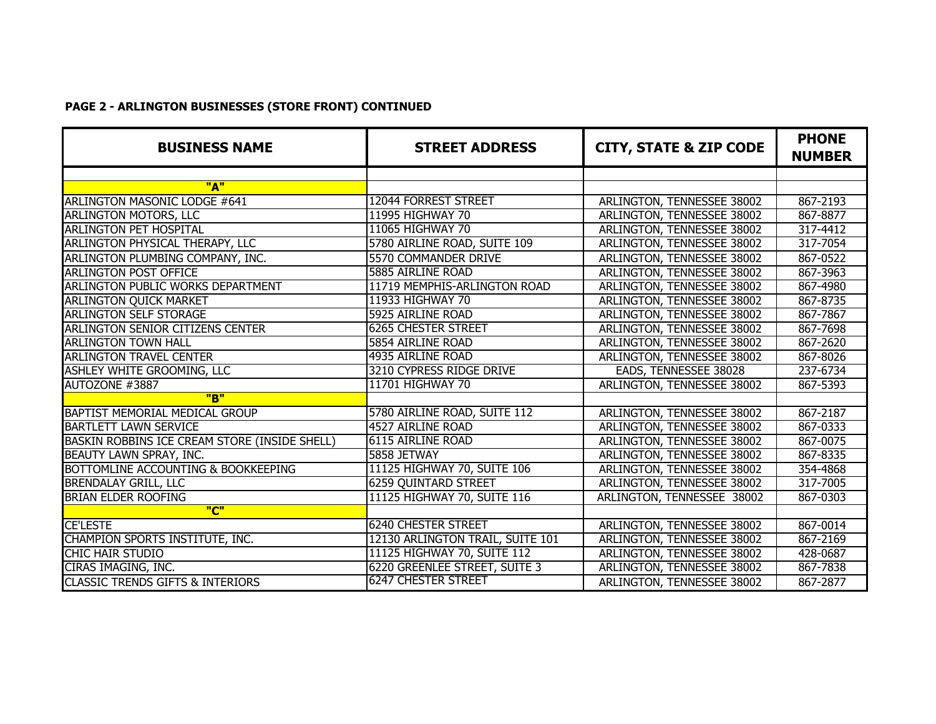## **PAGE 2 - ARLINGTON BUSINESSES (STORE FRONT) CONTINUED**

| <b>BUSINESS NAME</b>                          | <b>STREET ADDRESS</b>            | <b>CITY, STATE &amp; ZIP CODE</b> | <b>PHONE</b><br><b>NUMBER</b> |
|-----------------------------------------------|----------------------------------|-----------------------------------|-------------------------------|
|                                               |                                  |                                   |                               |
| "A"                                           |                                  |                                   |                               |
| <b>ARLINGTON MASONIC LODGE #641</b>           | 12044 FORREST STREET             | ARLINGTON, TENNESSEE 38002        | 867-2193                      |
| <b>ARLINGTON MOTORS, LLC</b>                  | 11995 HIGHWAY 70                 | ARLINGTON, TENNESSEE 38002        | 867-8877                      |
| <b>ARLINGTON PET HOSPITAL</b>                 | 11065 HIGHWAY 70                 | ARLINGTON, TENNESSEE 38002        | 317-4412                      |
| ARLINGTON PHYSICAL THERAPY, LLC               | 5780 AIRLINE ROAD, SUITE 109     | ARLINGTON, TENNESSEE 38002        | 317-7054                      |
| ARLINGTON PLUMBING COMPANY, INC.              | 5570 COMMANDER DRIVE             | ARLINGTON, TENNESSEE 38002        | 867-0522                      |
| ARLINGTON POST OFFICE                         | 5885 AIRLINE ROAD                | ARLINGTON, TENNESSEE 38002        | 867-3963                      |
| <b>ARLINGTON PUBLIC WORKS DEPARTMENT</b>      | 11719 MEMPHIS-ARLINGTON ROAD     | <b>ARLINGTON, TENNESSEE 38002</b> | 867-4980                      |
| <b>ARLINGTON QUICK MARKET</b>                 | 11933 HIGHWAY 70                 | ARLINGTON, TENNESSEE 38002        | 867-8735                      |
| <b>ARLINGTON SELF STORAGE</b>                 | 5925 AIRLINE ROAD                | ARLINGTON, TENNESSEE 38002        | 867-7867                      |
| ARLINGTON SENIOR CITIZENS CENTER              | <b>6265 CHESTER STREET</b>       | ARLINGTON, TENNESSEE 38002        | 867-7698                      |
| <b>ARLINGTON TOWN HALL</b>                    | 5854 AIRLINE ROAD                | ARLINGTON, TENNESSEE 38002        | 867-2620                      |
| <b>ARLINGTON TRAVEL CENTER</b>                | 4935 AIRLINE ROAD                | ARLINGTON, TENNESSEE 38002        | 867-8026                      |
| ASHLEY WHITE GROOMING, LLC                    | 3210 CYPRESS RIDGE DRIVE         | EADS, TENNESSEE 38028             | 237-6734                      |
| AUTOZONE #3887                                | 11701 HIGHWAY 70                 | ARLINGTON, TENNESSEE 38002        | 867-5393                      |
| "B"                                           |                                  |                                   |                               |
| BAPTIST MEMORIAL MEDICAL GROUP                | 5780 AIRLINE ROAD, SUITE 112     | ARLINGTON, TENNESSEE 38002        | 867-2187                      |
| <b>BARTLETT LAWN SERVICE</b>                  | 4527 AIRLINE ROAD                | ARLINGTON, TENNESSEE 38002        | 867-0333                      |
| BASKIN ROBBINS ICE CREAM STORE (INSIDE SHELL) | <b>6115 AIRLINE ROAD</b>         | ARLINGTON, TENNESSEE 38002        | 867-0075                      |
| <b>BEAUTY LAWN SPRAY, INC.</b>                | 5858 JETWAY                      | ARLINGTON, TENNESSEE 38002        | 867-8335                      |
| BOTTOMLINE ACCOUNTING & BOOKKEEPING           | 11125 HIGHWAY 70, SUITE 106      | ARLINGTON, TENNESSEE 38002        | 354-4868                      |
| <b>BRENDALAY GRILL, LLC</b>                   | <b>6259 QUINTARD STREET</b>      | <b>ARLINGTON, TENNESSEE 38002</b> | 317-7005                      |
| <b>BRIAN ELDER ROOFING</b>                    | 11125 HIGHWAY 70, SUITE 116      | ARLINGTON, TENNESSEE 38002        | 867-0303                      |
| "C"                                           |                                  |                                   |                               |
| <b>CE'LESTE</b>                               | <b>6240 CHESTER STREET</b>       | <b>ARLINGTON, TENNESSEE 38002</b> | 867-0014                      |
| CHAMPION SPORTS INSTITUTE, INC.               | 12130 ARLINGTON TRAIL, SUITE 101 | ARLINGTON, TENNESSEE 38002        | 867-2169                      |
| <b>CHIC HAIR STUDIO</b>                       | 11125 HIGHWAY 70, SUITE 112      | ARLINGTON, TENNESSEE 38002        | 428-0687                      |
| CIRAS IMAGING, INC.                           | 6220 GREENLEE STREET, SUITE 3    | ARLINGTON, TENNESSEE 38002        | 867-7838                      |
| <b>CLASSIC TRENDS GIFTS &amp; INTERIORS</b>   | <b>6247 CHESTER STREET</b>       | ARLINGTON, TENNESSEE 38002        | 867-2877                      |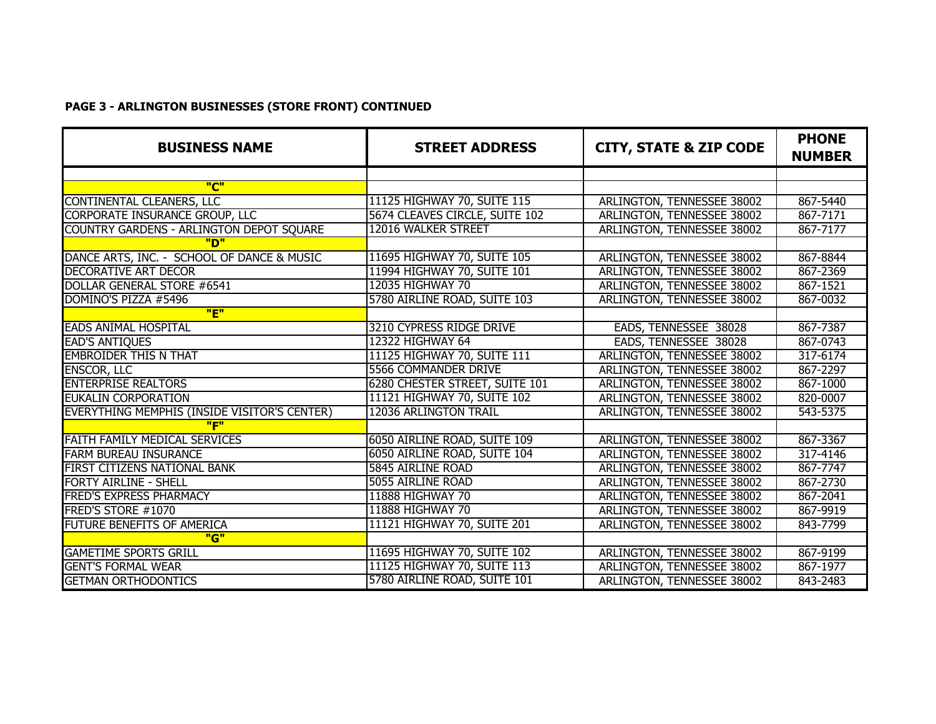## **PAGE 3 - ARLINGTON BUSINESSES (STORE FRONT) CONTINUED**

| <b>BUSINESS NAME</b>                         | <b>STREET ADDRESS</b>          | <b>CITY, STATE &amp; ZIP CODE</b> | <b>PHONE</b><br><b>NUMBER</b> |
|----------------------------------------------|--------------------------------|-----------------------------------|-------------------------------|
|                                              |                                |                                   |                               |
| "C"                                          |                                |                                   |                               |
| CONTINENTAL CLEANERS, LLC                    | 11125 HIGHWAY 70, SUITE 115    | <b>ARLINGTON, TENNESSEE 38002</b> | 867-5440                      |
| <b>CORPORATE INSURANCE GROUP, LLC</b>        | 5674 CLEAVES CIRCLE, SUITE 102 | ARLINGTON, TENNESSEE 38002        | 867-7171                      |
| COUNTRY GARDENS - ARLINGTON DEPOT SQUARE     | 12016 WALKER STREET            | ARLINGTON, TENNESSEE 38002        | 867-7177                      |
| "פ"                                          |                                |                                   |                               |
| DANCE ARTS, INC. - SCHOOL OF DANCE & MUSIC   | 11695 HIGHWAY 70, SUITE 105    | ARLINGTON, TENNESSEE 38002        | 867-8844                      |
| DECORATIVE ART DÉCOR                         | 11994 HIGHWAY 70, SUITE 101    | ARLINGTON, TENNESSEE 38002        | 867-2369                      |
| DOLLAR GENERAL STORE #6541                   | 12035 HIGHWAY 70               | ARLINGTON, TENNESSEE 38002        | 867-1521                      |
| DOMINO'S PIZZA #5496                         | 5780 AIRLINE ROAD, SUITE 103   | ARLINGTON, TENNESSEE 38002        | 867-0032                      |
| "F"                                          |                                |                                   |                               |
| <b>EADS ANIMAL HOSPITAL</b>                  | 3210 CYPRESS RIDGE DRIVE       | EADS, TENNESSEE 38028             | 867-7387                      |
| <b>EAD'S ANTIQUES</b>                        | 12322 HIGHWAY 64               | EADS, TENNESSEE 38028             | 867-0743                      |
| <b>EMBROIDER THIS N THAT</b>                 | 11125 HIGHWAY 70, SUITE 111    | ARLINGTON, TENNESSEE 38002        | 317-6174                      |
| <b>ENSCOR, LLC</b>                           | 5566 COMMANDER DRIVE           | ARLINGTON, TENNESSEE 38002        | 867-2297                      |
| <b>ENTERPRISE REALTORS</b>                   | 6280 CHESTER STREET, SUITE 101 | ARLINGTON, TENNESSEE 38002        | 867-1000                      |
| <b>EUKALIN CORPORATION</b>                   | 11121 HIGHWAY 70, SUITE 102    | ARLINGTON, TENNESSEE 38002        | 820-0007                      |
| EVERYTHING MEMPHIS (INSIDE VISITOR'S CENTER) | 12036 ARLINGTON TRAIL          | ARLINGTON, TENNESSEE 38002        | 543-5375                      |
| "F"                                          |                                |                                   |                               |
| FAITH FAMILY MEDICAL SERVICES                | 6050 AIRLINE ROAD, SUITE 109   | ARLINGTON, TENNESSEE 38002        | 867-3367                      |
| <b>FARM BUREAU INSURANCE</b>                 | 6050 AIRLINE ROAD, SUITE 104   | ARLINGTON, TENNESSEE 38002        | 317-4146                      |
| FIRST CITIZENS NATIONAL BANK                 | 5845 AIRLINE ROAD              | ARLINGTON, TENNESSEE 38002        | 867-7747                      |
| <b>FORTY AIRLINE - SHELL</b>                 | 5055 AIRLINE ROAD              | ARLINGTON, TENNESSEE 38002        | 867-2730                      |
| <b>FRED'S EXPRESS PHARMACY</b>               | 11888 HIGHWAY 70               | ARLINGTON, TENNESSEE 38002        | 867-2041                      |
| FRED'S STORE #1070                           | 11888 HIGHWAY 70               | ARLINGTON, TENNESSEE 38002        | 867-9919                      |
| FUTURE BENEFITS OF AMERICA                   | 11121 HIGHWAY 70, SUITE 201    | ARLINGTON, TENNESSEE 38002        | 843-7799                      |
| "G"                                          |                                |                                   |                               |
| <b>GAMETIME SPORTS GRILL</b>                 | 11695 HIGHWAY 70, SUITE 102    | ARLINGTON, TENNESSEE 38002        | 867-9199                      |
| <b>GENT'S FORMAL WEAR</b>                    | 11125 HIGHWAY 70, SUITE 113    | ARLINGTON, TENNESSEE 38002        | 867-1977                      |
| <b>GETMAN ORTHODONTICS</b>                   | 5780 AIRLINE ROAD, SUITE 101   | ARLINGTON, TENNESSEE 38002        | 843-2483                      |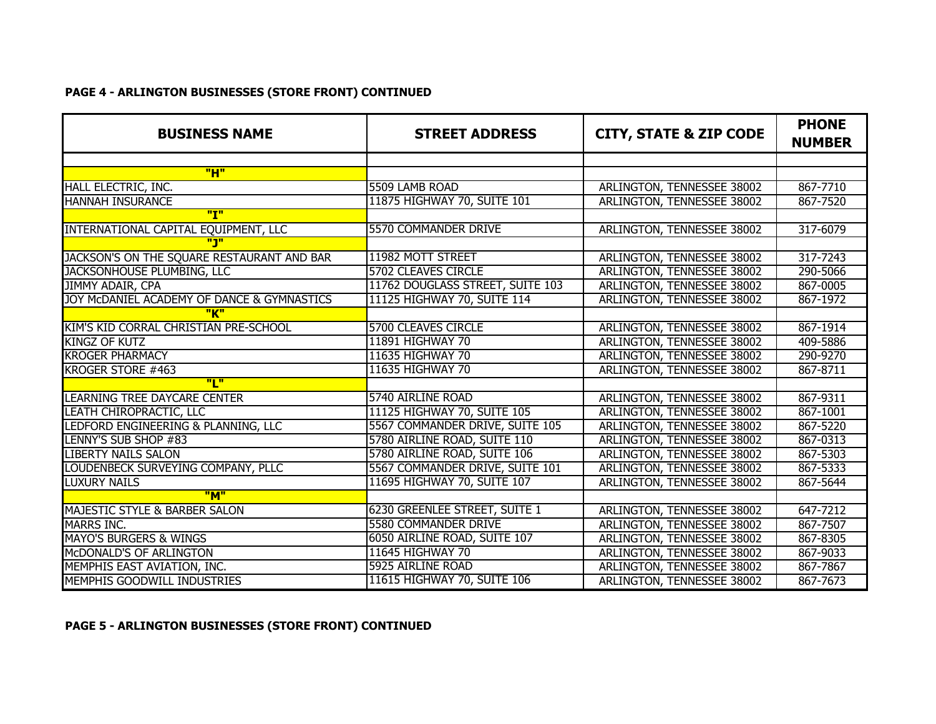#### **PAGE 4 - ARLINGTON BUSINESSES (STORE FRONT) CONTINUED**

| <b>BUSINESS NAME</b>                       | <b>STREET ADDRESS</b>            | <b>CITY, STATE &amp; ZIP CODE</b> | <b>PHONE</b><br><b>NUMBER</b> |
|--------------------------------------------|----------------------------------|-----------------------------------|-------------------------------|
|                                            |                                  |                                   |                               |
| "H"                                        |                                  |                                   |                               |
| HALL ELECTRIC, INC.                        | 5509 LAMB ROAD                   | ARLINGTON, TENNESSEE 38002        | 867-7710                      |
| <b>HANNAH INSURANCE</b>                    | 11875 HIGHWAY 70, SUITE 101      | ARLINGTON, TENNESSEE 38002        | 867-7520                      |
| "I"                                        |                                  |                                   |                               |
| INTERNATIONAL CAPITAL EQUIPMENT, LLC       | 5570 COMMANDER DRIVE             | ARLINGTON, TENNESSEE 38002        | 317-6079                      |
| <u> "ינ"</u>                               |                                  |                                   |                               |
| JACKSON'S ON THE SQUARE RESTAURANT AND BAR | 11982 MOTT STREET                | ARLINGTON, TENNESSEE 38002        | 317-7243                      |
| JACKSONHOUSE PLUMBING, LLC                 | <b>5702 CLEAVES CIRCLE</b>       | ARLINGTON, TENNESSEE 38002        | 290-5066                      |
| JIMMY ADAIR, CPA                           | 11762 DOUGLASS STREET, SUITE 103 | ARLINGTON, TENNESSEE 38002        | 867-0005                      |
| JOY MCDANIEL ACADEMY OF DANCE & GYMNASTICS | 11125 HIGHWAY 70, SUITE 114      | ARLINGTON, TENNESSEE 38002        | 867-1972                      |
| "K"                                        |                                  |                                   |                               |
| KIM'S KID CORRAL CHRISTIAN PRE-SCHOOL      | <b>5700 CLEAVES CIRCLE</b>       | ARLINGTON, TENNESSEE 38002        | 867-1914                      |
| <b>KINGZ OF KUTZ</b>                       | 11891 HIGHWAY 70                 | ARLINGTON, TENNESSEE 38002        | 409-5886                      |
| <b>KROGER PHARMACY</b>                     | 11635 HIGHWAY 70                 | ARLINGTON, TENNESSEE 38002        | 290-9270                      |
| KROGER STORE #463                          | 11635 HIGHWAY 70                 | ARLINGTON, TENNESSEE 38002        | 867-8711                      |
| "L"                                        |                                  |                                   |                               |
| <b>LEARNING TREE DAYCARE CENTER</b>        | 5740 AIRLINE ROAD                | ARLINGTON, TENNESSEE 38002        | 867-9311                      |
| LEATH CHIROPRACTIC, LLC                    | 11125 HIGHWAY 70, SUITE 105      | ARLINGTON, TENNESSEE 38002        | 867-1001                      |
| LEDFORD ENGINEERING & PLANNING, LLC        | 5567 COMMANDER DRIVE, SUITE 105  | ARLINGTON, TENNESSEE 38002        | 867-5220                      |
| LENNY'S SUB SHOP #83                       | 5780 AIRLINE ROAD, SUITE 110     | ARLINGTON, TENNESSEE 38002        | 867-0313                      |
| <b>LIBERTY NAILS SALON</b>                 | 5780 AIRLINE ROAD, SUITE 106     | ARLINGTON, TENNESSEE 38002        | 867-5303                      |
| LOUDENBECK SURVEYING COMPANY, PLLC         | 5567 COMMANDER DRIVE, SUITE 101  | ARLINGTON, TENNESSEE 38002        | 867-5333                      |
| <b>LUXURY NAILS</b>                        | 11695 HIGHWAY 70, SUITE 107      | ARLINGTON, TENNESSEE 38002        | 867-5644                      |
| "M"                                        |                                  |                                   |                               |
| MAJESTIC STYLE & BARBER SALON              | 6230 GREENLEE STREET, SUITE 1    | ARLINGTON, TENNESSEE 38002        | 647-7212                      |
| <b>MARRS INC.</b>                          | 5580 COMMANDER DRIVE             | ARLINGTON, TENNESSEE 38002        | 867-7507                      |
| <b>MAYO'S BURGERS &amp; WINGS</b>          | 6050 AIRLINE ROAD, SUITE 107     | ARLINGTON, TENNESSEE 38002        | 867-8305                      |
| McDONALD'S OF ARLINGTON                    | 11645 HIGHWAY 70                 | ARLINGTON, TENNESSEE 38002        | 867-9033                      |
| MEMPHIS EAST AVIATION, INC.                | 5925 AIRLINE ROAD                | ARLINGTON, TENNESSEE 38002        | 867-7867                      |
| MEMPHIS GOODWILL INDUSTRIES                | 11615 HIGHWAY 70, SUITE 106      | ARLINGTON, TENNESSEE 38002        | 867-7673                      |

### **PAGE 5 - ARLINGTON BUSINESSES (STORE FRONT) CONTINUED**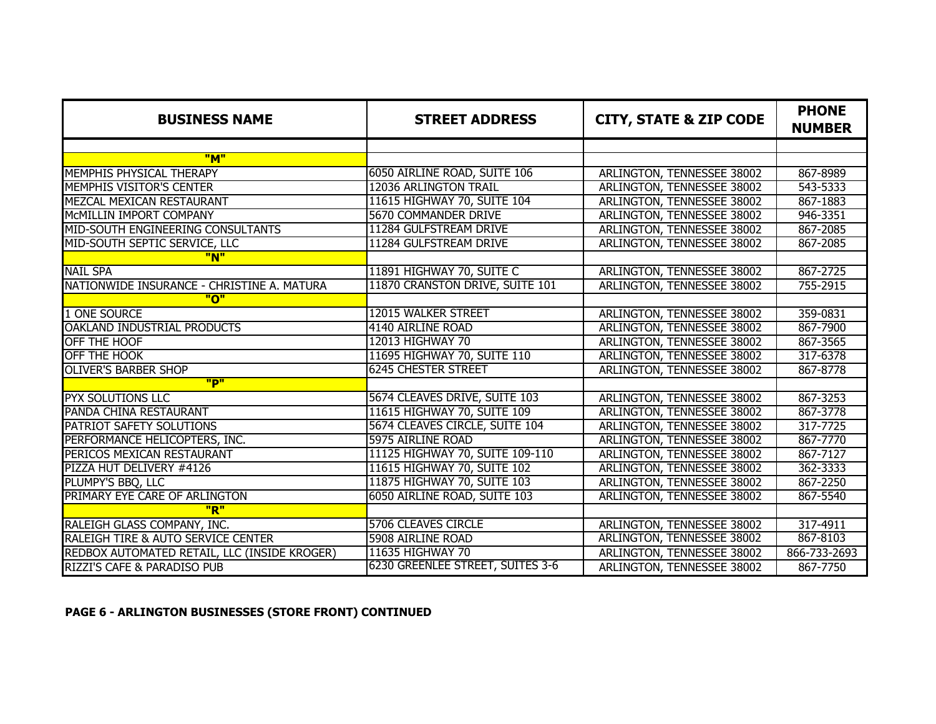| <b>BUSINESS NAME</b>                         | <b>STREET ADDRESS</b>            | <b>CITY, STATE &amp; ZIP CODE</b> | <b>PHONE</b><br><b>NUMBER</b> |
|----------------------------------------------|----------------------------------|-----------------------------------|-------------------------------|
|                                              |                                  |                                   |                               |
| "M"                                          |                                  |                                   |                               |
| MEMPHIS PHYSICAL THERAPY                     | 6050 AIRLINE ROAD, SUITE 106     | ARLINGTON, TENNESSEE 38002        | 867-8989                      |
| MEMPHIS VISITOR'S CENTER                     | 12036 ARLINGTON TRAIL            | ARLINGTON, TENNESSEE 38002        | 543-5333                      |
| MEZCAL MEXICAN RESTAURANT                    | 11615 HIGHWAY 70, SUITE 104      | ARLINGTON, TENNESSEE 38002        | 867-1883                      |
| MCMILLIN IMPORT COMPANY                      | <b>5670 COMMANDER DRIVE</b>      | ARLINGTON, TENNESSEE 38002        | 946-3351                      |
| MID-SOUTH ENGINEERING CONSULTANTS            | 11284 GULFSTREAM DRIVE           | ARLINGTON, TENNESSEE 38002        | 867-2085                      |
| MID-SOUTH SEPTIC SERVICE, LLC                | 11284 GULFSTREAM DRIVE           | ARLINGTON, TENNESSEE 38002        | 867-2085                      |
| "N"                                          |                                  |                                   |                               |
| <b>NAIL SPA</b>                              | 11891 HIGHWAY 70, SUITE C        | ARLINGTON, TENNESSEE 38002        | 867-2725                      |
| NATIONWIDE INSURANCE - CHRISTINE A. MATURA   | 11870 CRANSTON DRIVE, SUITE 101  | ARLINGTON, TENNESSEE 38002        | 755-2915                      |
| "ח"                                          |                                  |                                   |                               |
| 1 ONE SOURCE                                 | <b>12015 WALKER STREET</b>       | <b>ARLINGTON, TENNESSEE 38002</b> | 359-0831                      |
| <b>OAKLAND INDUSTRIAL PRODUCTS</b>           | 4140 AIRLINE ROAD                | ARLINGTON, TENNESSEE 38002        | 867-7900                      |
| OFF THE HOOF                                 | 12013 HIGHWAY 70                 | ARLINGTON, TENNESSEE 38002        | 867-3565                      |
| <b>OFF THE HOOK</b>                          | 11695 HIGHWAY 70, SUITE 110      | ARLINGTON, TENNESSEE 38002        | 317-6378                      |
| <b>OLIVER'S BARBER SHOP</b>                  | <b>6245 CHESTER STREET</b>       | ARLINGTON, TENNESSEE 38002        | 867-8778                      |
| "D"                                          |                                  |                                   |                               |
| <b>PYX SOLUTIONS LLC</b>                     | 5674 CLEAVES DRIVE, SUITE 103    | ARLINGTON, TENNESSEE 38002        | 867-3253                      |
| PANDA CHINA RESTAURANT                       | 11615 HIGHWAY 70, SUITE 109      | ARLINGTON, TENNESSEE 38002        | 867-3778                      |
| PATRIOT SAFETY SOLUTIONS                     | 5674 CLEAVES CIRCLE, SUITE 104   | ARLINGTON, TENNESSEE 38002        | 317-7725                      |
| PERFORMANCE HELICOPTERS, INC.                | 5975 AIRLINE ROAD                | ARLINGTON, TENNESSEE 38002        | 867-7770                      |
| PERICOS MEXICAN RESTAURANT                   | 11125 HIGHWAY 70, SUITE 109-110  | ARLINGTON, TENNESSEE 38002        | 867-7127                      |
| PIZZA HUT DELIVERY #4126                     | 11615 HIGHWAY 70, SUITE 102      | ARLINGTON, TENNESSEE 38002        | 362-3333                      |
| PLUMPY'S BBQ, LLC                            | 11875 HIGHWAY 70, SUITE 103      | ARLINGTON, TENNESSEE 38002        | 867-2250                      |
| PRIMARY EYE CARE OF ARLINGTON                | 6050 AIRLINE ROAD, SUITE 103     | ARLINGTON, TENNESSEE 38002        | 867-5540                      |
| "R"                                          |                                  |                                   |                               |
| RALEIGH GLASS COMPANY, INC.                  | <b>5706 CLEAVES CIRCLE</b>       | ARLINGTON, TENNESSEE 38002        | 317-4911                      |
| RALEIGH TIRE & AUTO SERVICE CENTER           | 5908 AIRLINE ROAD                | ARLINGTON, TENNESSEE 38002        | 867-8103                      |
| REDBOX AUTOMATED RETAIL, LLC (INSIDE KROGER) | 11635 HIGHWAY 70                 | ARLINGTON, TENNESSEE 38002        | 866-733-2693                  |
| RIZZI'S CAFE & PARADISO PUB                  | 6230 GREENLEE STREET, SUITES 3-6 | ARLINGTON, TENNESSEE 38002        | 867-7750                      |

**PAGE 6 - ARLINGTON BUSINESSES (STORE FRONT) CONTINUED**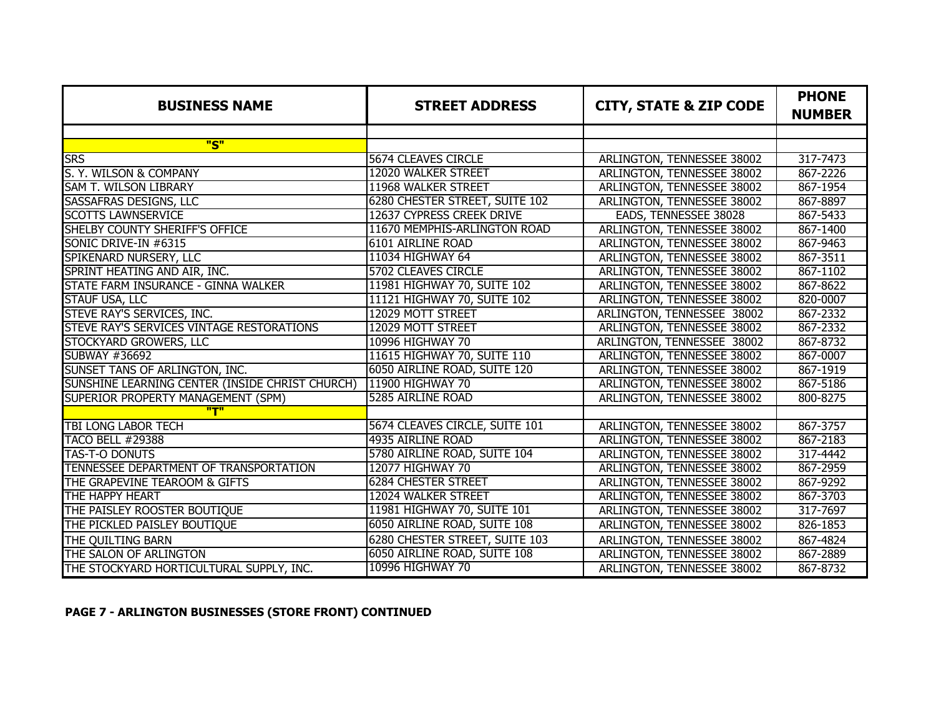| <b>BUSINESS NAME</b>                            | <b>STREET ADDRESS</b>          | <b>CITY, STATE &amp; ZIP CODE</b> | <b>PHONE</b><br><b>NUMBER</b> |
|-------------------------------------------------|--------------------------------|-----------------------------------|-------------------------------|
|                                                 |                                |                                   |                               |
| "S"                                             |                                |                                   |                               |
| <b>SRS</b>                                      | 5674 CLEAVES CIRCLE            | ARLINGTON, TENNESSEE 38002        | 317-7473                      |
| S. Y. WILSON & COMPANY                          | 12020 WALKER STREET            | ARLINGTON, TENNESSEE 38002        | 867-2226                      |
| <b>SAM T. WILSON LIBRARY</b>                    | 11968 WALKER STREET            | ARLINGTON, TENNESSEE 38002        | 867-1954                      |
| SASSAFRAS DESIGNS, LLC                          | 6280 CHESTER STREET, SUITE 102 | ARLINGTON, TENNESSEE 38002        | 867-8897                      |
| <b>SCOTTS LAWNSERVICE</b>                       | 12637 CYPRESS CREEK DRIVE      | EADS, TENNESSEE 38028             | 867-5433                      |
| SHELBY COUNTY SHERIFF'S OFFICE                  | 11670 MEMPHIS-ARLINGTON ROAD   | ARLINGTON, TENNESSEE 38002        | 867-1400                      |
| SONIC DRIVE-IN #6315                            | 6101 AIRLINE ROAD              | ARLINGTON, TENNESSEE 38002        | 867-9463                      |
| SPIKENARD NURSERY, LLC                          | 11034 HIGHWAY 64               | ARLINGTON, TENNESSEE 38002        | 867-3511                      |
| SPRINT HEATING AND AIR, INC.                    | 5702 CLEAVES CIRCLE            | ARLINGTON, TENNESSEE 38002        | 867-1102                      |
| STATE FARM INSURANCE - GINNA WALKER             | 11981 HIGHWAY 70, SUITE 102    | ARLINGTON, TENNESSEE 38002        | 867-8622                      |
| <b>STAUF USA, LLC</b>                           | 11121 HIGHWAY 70, SUITE 102    | ARLINGTON, TENNESSEE 38002        | 820-0007                      |
| STEVE RAY'S SERVICES, INC.                      | 12029 MOTT STREET              | ARLINGTON, TENNESSEE 38002        | 867-2332                      |
| STEVE RAY'S SERVICES VINTAGE RESTORATIONS       | 12029 MOTT STREET              | ARLINGTON, TENNESSEE 38002        | 867-2332                      |
| STOCKYARD GROWERS, LLC                          | 10996 HIGHWAY 70               | ARLINGTON, TENNESSEE 38002        | 867-8732                      |
| SUBWAY #36692                                   | 11615 HIGHWAY 70, SUITE 110    | ARLINGTON, TENNESSEE 38002        | 867-0007                      |
| SUNSET TANS OF ARLINGTON, INC.                  | 6050 AIRLINE ROAD, SUITE 120   | ARLINGTON, TENNESSEE 38002        | 867-1919                      |
| SUNSHINE LEARNING CENTER (INSIDE CHRIST CHURCH) | <b>11900 HIGHWAY 70</b>        | ARLINGTON, TENNESSEE 38002        | 867-5186                      |
| SUPERIOR PROPERTY MANAGEMENT (SPM)              | 5285 AIRLINE ROAD              | ARLINGTON, TENNESSEE 38002        | 800-8275                      |
| "T"                                             |                                |                                   |                               |
| <b>TBI LONG LABOR TECH</b>                      | 5674 CLEAVES CIRCLE, SUITE 101 | ARLINGTON, TENNESSEE 38002        | 867-3757                      |
| <b>TACO BELL #29388</b>                         | 4935 AIRLINE ROAD              | ARLINGTON, TENNESSEE 38002        | 867-2183                      |
| TAS-T-O DONUTS                                  | 5780 AIRLINE ROAD, SUITE 104   | ARLINGTON, TENNESSEE 38002        | 317-4442                      |
| TENNESSEE DEPARTMENT OF TRANSPORTATION          | 12077 HIGHWAY 70               | ARLINGTON, TENNESSEE 38002        | 867-2959                      |
| THE GRAPEVINE TEAROOM & GIFTS                   | <b>6284 CHESTER STREET</b>     | ARLINGTON, TENNESSEE 38002        | 867-9292                      |
| THE HAPPY HEART                                 | 12024 WALKER STREET            | ARLINGTON, TENNESSEE 38002        | 867-3703                      |
| THE PAISLEY ROOSTER BOUTIQUE                    | 11981 HIGHWAY 70, SUITE 101    | ARLINGTON, TENNESSEE 38002        | 317-7697                      |
| THE PICKLED PAISLEY BOUTIQUE                    | 6050 AIRLINE ROAD, SUITE 108   | ARLINGTON, TENNESSEE 38002        | 826-1853                      |
| THE QUILTING BARN                               | 6280 CHESTER STREET, SUITE 103 | ARLINGTON, TENNESSEE 38002        | 867-4824                      |
| THE SALON OF ARLINGTON                          | 6050 AIRLINE ROAD, SUITE 108   | ARLINGTON, TENNESSEE 38002        | 867-2889                      |
| THE STOCKYARD HORTICULTURAL SUPPLY, INC.        | <b>10996 HIGHWAY 70</b>        | ARLINGTON, TENNESSEE 38002        | 867-8732                      |

## **PAGE 7 - ARLINGTON BUSINESSES (STORE FRONT) CONTINUED**